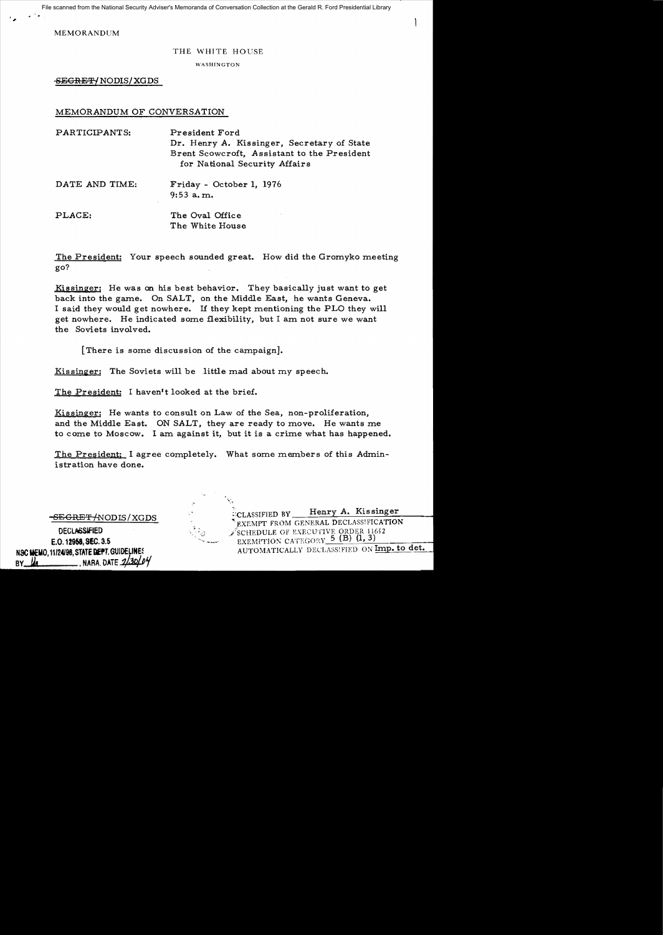File scanned from the National Security Adviser's Memoranda of Conversation Collection at the Gerald R. Ford Presidential Library

MEMORANDUM

,

## THE WHITE HOUSE

WASHINGTON

SEGRET-/ NODIS/XGDS

## MEMORANDUM OF CONVERSATION

| PARTICIPANTS:  | President Ford<br>Dr. Henry A. Kissinger, Secretary of State<br>Brent Scowcroft, Assistant to the President<br>for National Security Affairs |
|----------------|----------------------------------------------------------------------------------------------------------------------------------------------|
| DATE AND TIME: | Friday - October 1, 1976<br>$9:53$ a.m.                                                                                                      |
| PLACE:         | The Oval Office<br>The White House                                                                                                           |

The President: Your speech sounded great. How did the Gromyko meeting go?

Kissinger: He was on his best behavior. They basically just want to get back into the game. On SALT, on the Middle East, he wants Geneva. I said they would get nowhere. If they kept mentioning the PLO they will get nowhere. He indicated some flexibility, but I am not sure we want the Soviets invo1ved.

[There is some discussion of the campaign].

Kissinger: The Soviets will be little mad about my speech.

.'

The President: I haven't looked at the brief.

Kissinger: He wants to consult on Law of the Sea, non-proliferation, and the Middle East. ON SALT, they are ready to move. He wants me to come to Moscow. I am against it, but it is a crime what has happened.

The President: I agree completely. What some members of this Administration have done.

**-SEGRET/NODIS/XGDS DECLASSIFIED** E,Q. 12958,SEC, 3.S NSC MEMO. 11/24/98, STATE DEPT. GUIDELINES BY  $\frac{1}{4}$  NARA, DATE  $\frac{1}{30}$ 

ECLASSIFIED BY Henry A. Kissinger EXEMPT FROM GENERAL DECLASSIFICATION SCHEDULE OF EXECUTIVE ORDER 11652 EXEMPTION CATEGORY  $\overline{5}$  (B) (1, 3) AUTOMATICALLY DECLASSIFIED ON Imp. to det.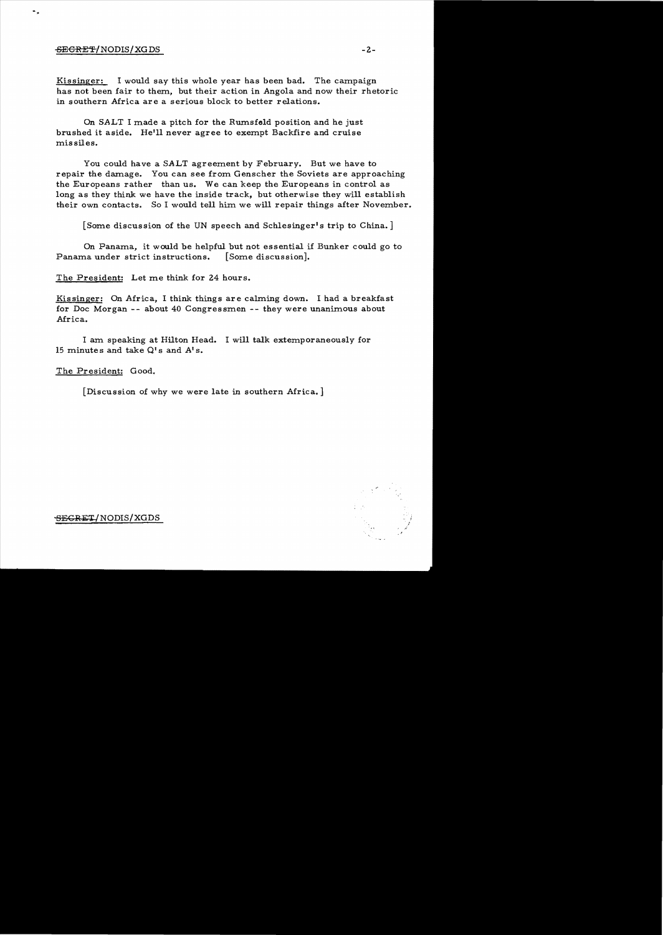## $-$ <del>SECRET</del>/NODIS/XG DS  $-$  2-

Kissinger: I would say this whole year has been bad. The campaign has not been fair to them, but their action in Angola and now their rhetoric in southern Africa are a serious block to better relations.

On SALT I made a pitch for the Rumsfeld position and he just brushed it aside. Helll never agree to exempt Backfire and cruise missiles.

You could have a SALT agreement by February. But we have to repair the damage. You can see from Genscher the Soviets are approaching the Europeans rather than us. We can keep the Europeans in control as long as they think we have the inside track, but otherwise they will establish their own contacts. So I would tell him we will repair things after November.

[Some discussion of the UN speech and Schlesinger's trip to China. ]

On Panama, it would be helpful but not essential if Bunker could go to Panama under strict instructions. [Some discussion].

The President: Let me think for 24 hours.

Kissinger: On Africa, I think things are calming down. I had a breakfast for Doc Morgan **--** about 40 Congressmen -- they were unanimous about Africa.

I am speaking at Hilton Head. I will talk extemporaneously for 15 minutes and take  $Q^{\dagger}$ s and  $A^{\dagger}$ s.

The President: Good,

[Discussion of why we were late in southern Africa. ]



SEGRET/NODIS/XGDS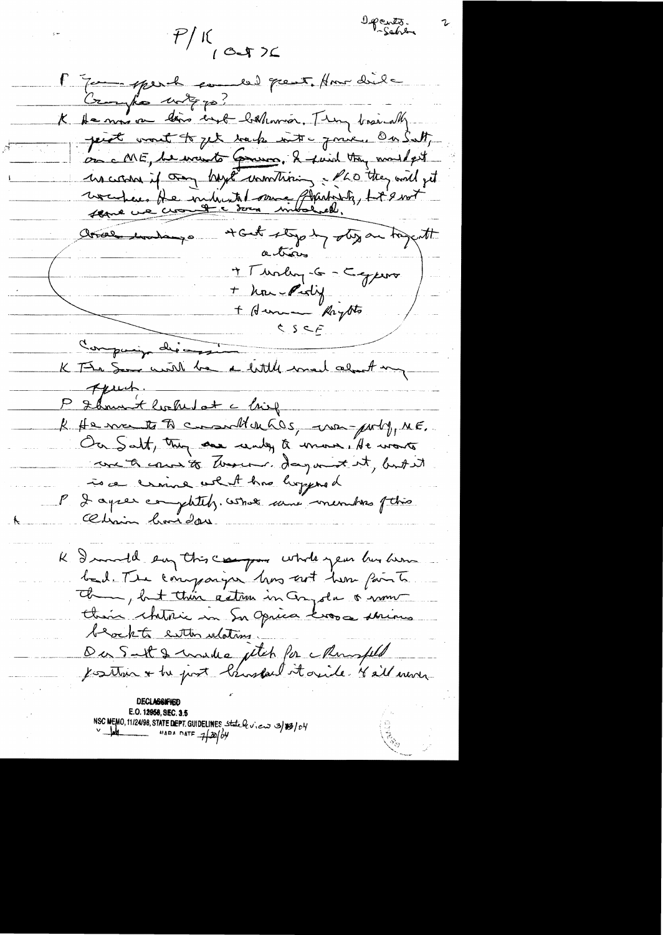$P/K$  (cost )

Departs.

F que perhaper en les poies tous die Crayfe with po? K de mas on lois end bellemmer. They basedly. peint worst to get back with jour. On Sutt, on cME, le vout Gruno, 2 paid tou muss est increase if oney hayte unonthising a cho they will get vocupeur He miliante dans Gladoste, Ligent arrow undange + Gest stypt y step are trajent actions + Thorley-G - Capero + houreding  $S.S.S.F.$ Company die-K The Sea will be a little med about my April, P & hnunt looked at a ling R He me to to communication, we porty, ME. Ou Salt, they are unly a more, He wants avente cours to deverse. day with, but it To a craine what has hopped P I agree completely. What came membres fthis Chris hoise K I mull em this campos whole year husban bad. The companying him out home paints the , but their action in Congola & now their chitric en Su Opica Loss et Minus beacht enthor ulations. Du Suit & madre ptch for Monspeld Jesten + he just bruskal it avide Kall mode DECLASSIFIEI E.O. 12958, SEC. 3. NSC MEMO, 11/24/98, STATE DEPT. GUIDELINES State be view 3/83/04